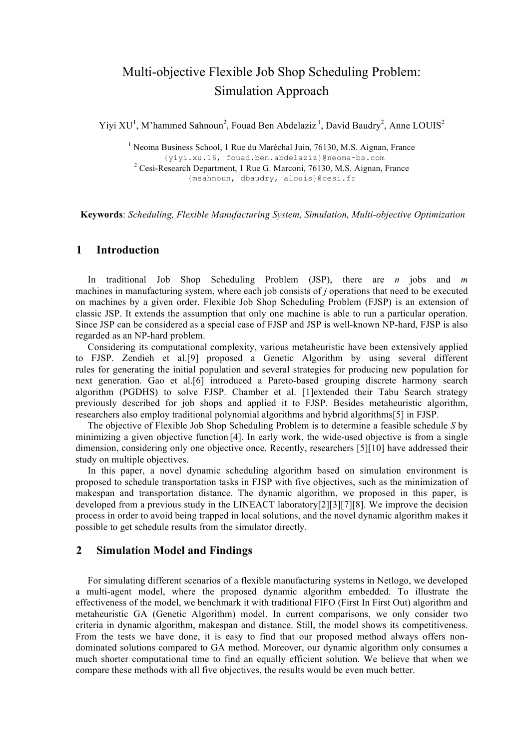# Multi-objective Flexible Job Shop Scheduling Problem: Simulation Approach

Yiyi XU<sup>1</sup>, M'hammed Sahnoun<sup>2</sup>, Fouad Ben Abdelaziz<sup>1</sup>, David Baudry<sup>2</sup>, Anne LOUIS<sup>2</sup>

<sup>1</sup> Neoma Business School, 1 Rue du Maréchal Juin, 76130, M.S. Aignan, France {yiyi.xu.16, fouad.ben.abdelaziz}@neoma-bs.com <sup>2</sup> Cesi-Research Department, 1 Rue G. Marconi, 76130, M.S. Aignan, France {msahnoun, dbaudry, alouis}@cesi.fr

**Keywords**: *Scheduling, Flexible Manufacturing System, Simulation, Multi-objective Optimization*

#### **1 Introduction**

In traditional Job Shop Scheduling Problem (JSP), there are *n* jobs and *m* machines in manufacturing system, where each job consists of *j* operations that need to be executed on machines by a given order. Flexible Job Shop Scheduling Problem (FJSP) is an extension of classic JSP. It extends the assumption that only one machine is able to run a particular operation. Since JSP can be considered as a special case of FJSP and JSP is well-known NP-hard, FJSP is also regarded as an NP-hard problem.

Considering its computational complexity, various metaheuristic have been extensively applied to FJSP. Zendieh et al.[9] proposed a Genetic Algorithm by using several different rules for generating the initial population and several strategies for producing new population for next generation. Gao et al.[6] introduced a Pareto-based grouping discrete harmony search algorithm (PGDHS) to solve FJSP. Chamber et al. [1]extended their Tabu Search strategy previously described for job shops and applied it to FJSP. Besides metaheuristic algorithm, researchers also employ traditional polynomial algorithms and hybrid algorithms[5] in FJSP.

The objective of Flexible Job Shop Scheduling Problem is to determine a feasible schedule *S* by minimizing a given objective function [4]. In early work, the wide-used objective is from a single dimension, considering only one objective once. Recently, researchers [5][10] have addressed their study on multiple objectives.

In this paper, a novel dynamic scheduling algorithm based on simulation environment is proposed to schedule transportation tasks in FJSP with five objectives, such as the minimization of makespan and transportation distance. The dynamic algorithm, we proposed in this paper, is developed from a previous study in the LINEACT laboratory[2][3][7][8]. We improve the decision process in order to avoid being trapped in local solutions, and the novel dynamic algorithm makes it possible to get schedule results from the simulator directly.

# **2 Simulation Model and Findings**

For simulating different scenarios of a flexible manufacturing systems in Netlogo, we developed a multi-agent model, where the proposed dynamic algorithm embedded. To illustrate the effectiveness of the model, we benchmark it with traditional FIFO (First In First Out) algorithm and metaheuristic GA (Genetic Algorithm) model. In current comparisons, we only consider two criteria in dynamic algorithm, makespan and distance. Still, the model shows its competitiveness. From the tests we have done, it is easy to find that our proposed method always offers nondominated solutions compared to GA method. Moreover, our dynamic algorithm only consumes a much shorter computational time to find an equally efficient solution. We believe that when we compare these methods with all five objectives, the results would be even much better.